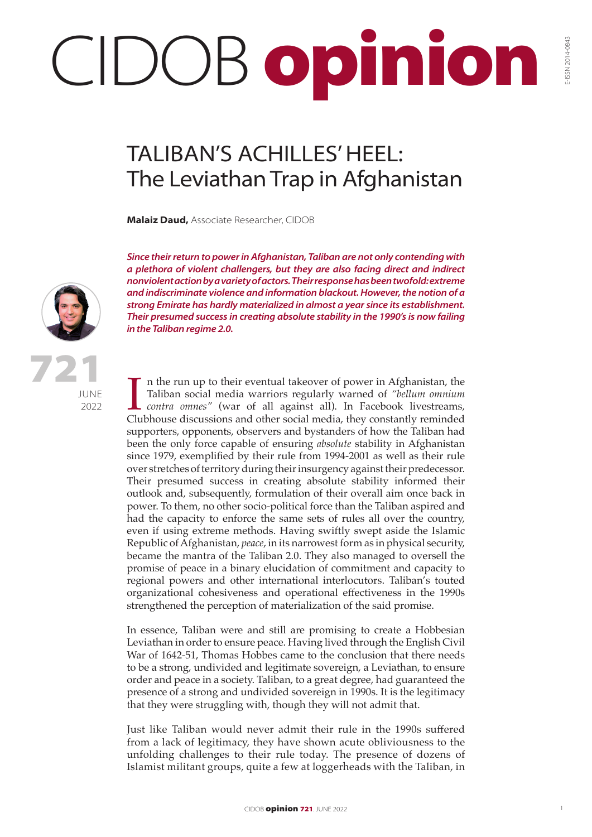## CIDOB opinion

## TALIBAN'S ACHILLES' HEEL: The Leviathan Trap in Afghanistan

**Malaiz Daud,** Associate Researcher, CIDOB

*Since their return to power in Afghanistan, Taliban are not only contending with a plethora of violent challengers, but they are also facing direct and indirect nonviolent action by a variety of actors. Their response has been twofold: extreme and indiscriminate violence and information blackout. However, the notion of a strong Emirate has hardly materialized in almost a year since its establishment. Their presumed success in creating absolute stability in the 1990's is now failing in the Taliban regime 2.0.*

721

**JUNE** 2022

In the run up to their eventual takeover of power in Afghanistan, the Taliban social media warriors regularly warned of *"bellum omnium contra omnes"* (war of all against all). In Facebook livestreams, Clubhouse discussion n the run up to their eventual takeover of power in Afghanistan, the Taliban social media warriors regularly warned of *"bellum omnium contra omnes"* (war of all against all). In Facebook livestreams, supporters, opponents, observers and bystanders of how the Taliban had been the only force capable of ensuring *absolute* stability in Afghanistan since 1979, exemplified by their rule from 1994-2001 as well as their rule over stretches of territory during their insurgency against their predecessor. Their presumed success in creating absolute stability informed their outlook and, subsequently, formulation of their overall aim once back in power. To them, no other socio-political force than the Taliban aspired and had the capacity to enforce the same sets of rules all over the country, even if using extreme methods. Having swiftly swept aside the Islamic Republic of Afghanistan, *peace*, in its narrowest form as in physical security, became the mantra of the Taliban 2.0. They also managed to oversell the promise of peace in a binary elucidation of commitment and capacity to regional powers and other international interlocutors. Taliban's touted organizational cohesiveness and operational effectiveness in the 1990s strengthened the perception of materialization of the said promise.

In essence, Taliban were and still are promising to create a Hobbesian Leviathan in order to ensure peace. Having lived through the English Civil War of 1642-51, Thomas Hobbes came to the conclusion that there needs to be a strong, undivided and legitimate sovereign, a Leviathan, to ensure order and peace in a society. Taliban, to a great degree, had guaranteed the presence of a strong and undivided sovereign in 1990s. It is the legitimacy that they were struggling with, though they will not admit that.

Just like Taliban would never admit their rule in the 1990s suffered from a lack of legitimacy, they have shown acute obliviousness to the unfolding challenges to their rule today. The presence of dozens of Islamist militant groups, quite a few at loggerheads with the Taliban, in E-ISSN 2014-0843

E-ISSN 2014-0843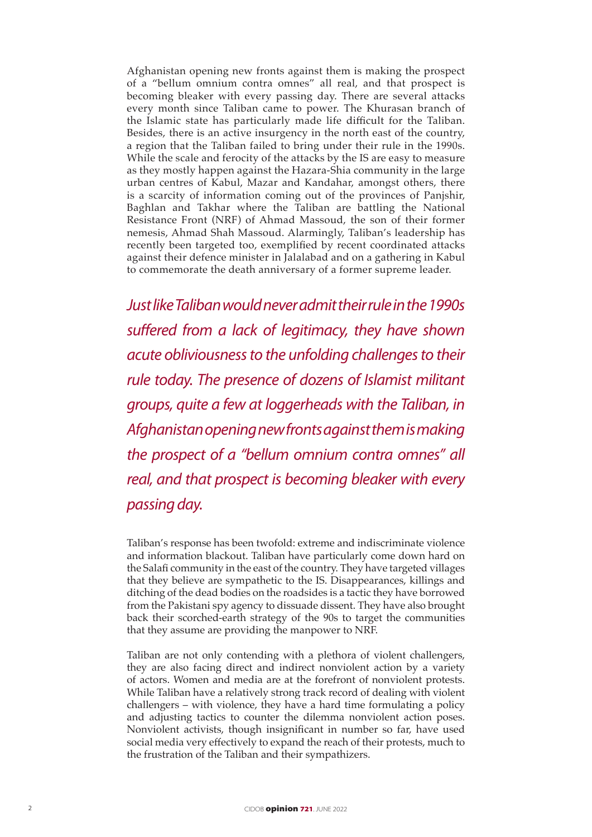Afghanistan opening new fronts against them is making the prospect of a "bellum omnium contra omnes" all real, and that prospect is becoming bleaker with every passing day. There are several attacks every month since Taliban came to power. The Khurasan branch of the Islamic state has particularly made life difficult for the Taliban. Besides, there is an active insurgency in the north east of the country, a region that the Taliban failed to bring under their rule in the 1990s. While the scale and ferocity of the attacks by the IS are easy to measure as they mostly happen against the Hazara-Shia community in the large urban centres of Kabul, Mazar and Kandahar, amongst others, there is a scarcity of information coming out of the provinces of Panjshir, Baghlan and Takhar where the Taliban are battling the National Resistance Front (NRF) of Ahmad Massoud, the son of their former nemesis, Ahmad Shah Massoud. Alarmingly, Taliban's leadership has recently been targeted too, exemplified by recent coordinated attacks against their defence minister in Jalalabad and on a gathering in Kabul to commemorate the death anniversary of a former supreme leader.

*Just like Taliban would never admit their rule in the 1990s suffered from a lack of legitimacy, they have shown acute obliviousness to the unfolding challenges to their rule today. The presence of dozens of Islamist militant groups, quite a few at loggerheads with the Taliban, in Afghanistan opening new fronts against them is making the prospect of a "bellum omnium contra omnes" all real, and that prospect is becoming bleaker with every passing day.*

Taliban's response has been twofold: extreme and indiscriminate violence and information blackout. Taliban have particularly come down hard on the Salafi community in the east of the country. They have targeted villages that they believe are sympathetic to the IS. Disappearances, killings and ditching of the dead bodies on the roadsides is a tactic they have borrowed from the Pakistani spy agency to dissuade dissent. They have also brought back their scorched-earth strategy of the 90s to target the communities that they assume are providing the manpower to NRF.

Taliban are not only contending with a plethora of violent challengers, they are also facing direct and indirect nonviolent action by a variety of actors. Women and media are at the forefront of nonviolent protests. While Taliban have a relatively strong track record of dealing with violent challengers – with violence, they have a hard time formulating a policy and adjusting tactics to counter the dilemma nonviolent action poses. Nonviolent activists, though insignificant in number so far, have used social media very effectively to expand the reach of their protests, much to the frustration of the Taliban and their sympathizers.